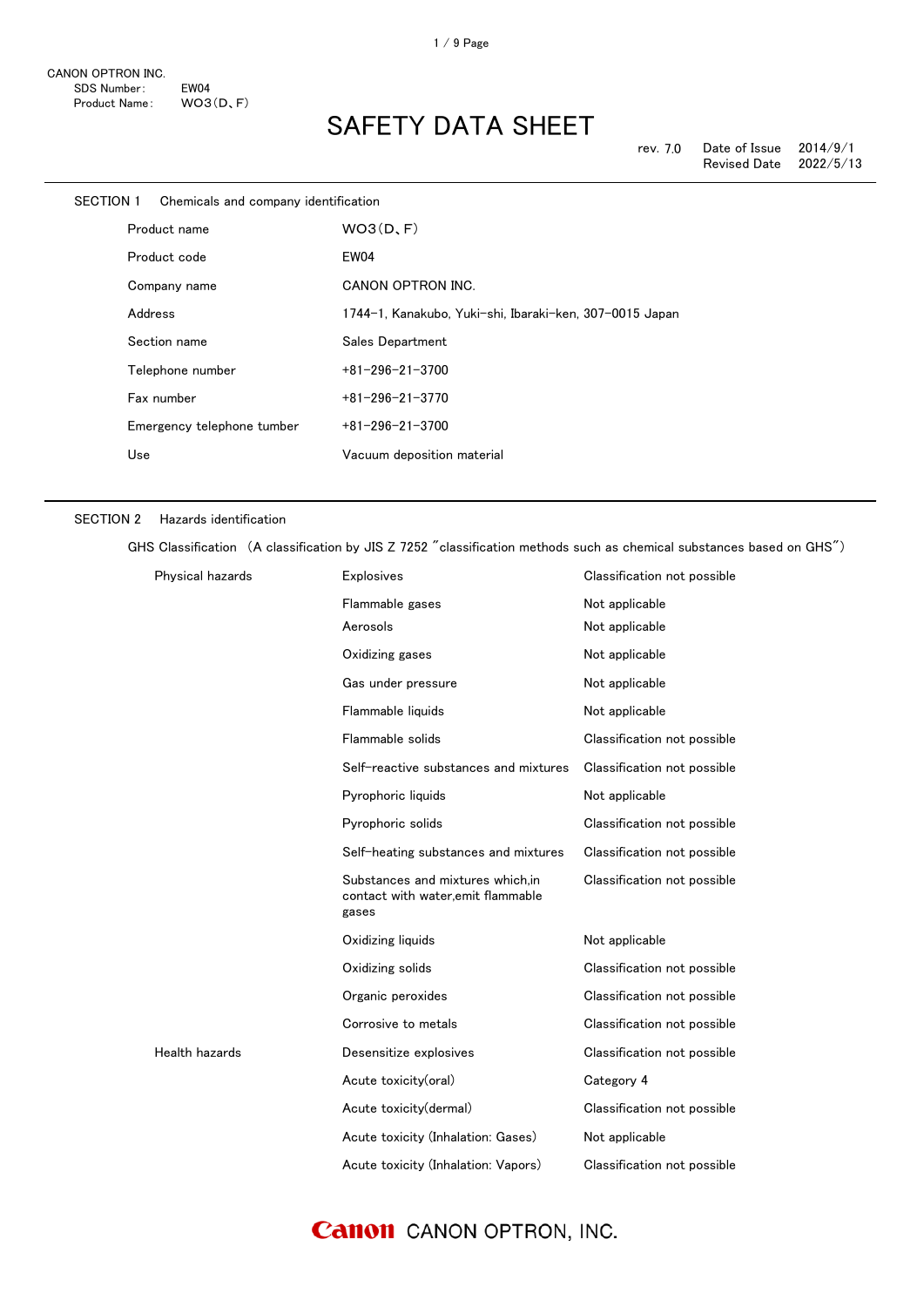| SECTION 1 | Chemicals and company identification |                                                         |
|-----------|--------------------------------------|---------------------------------------------------------|
|           | Product name                         | WO3(D, F)                                               |
|           | Product code                         | EW04                                                    |
|           | Company name                         | CANON OPTRON INC.                                       |
|           | Address                              | 1744-1, Kanakubo, Yuki-shi, Ibaraki-ken, 307-0015 Japan |
|           | Section name                         | Sales Department                                        |
|           | Telephone number                     | $+81 - 296 - 21 - 3700$                                 |
|           | Fax number                           | $+81-296-21-3770$                                       |
|           | Emergency telephone tumber           | $+81 - 296 - 21 - 3700$                                 |
|           | Use                                  | Vacuum deposition material                              |
|           |                                      |                                                         |

#### SECTION 2 Hazards identification

GHS Classification (A classification by JIS Z 7252 "classification methods such as chemical substances based on GHS")

| Physical hazards | Explosives                                                                      | Classification not possible |
|------------------|---------------------------------------------------------------------------------|-----------------------------|
|                  | Flammable gases                                                                 | Not applicable              |
|                  | Aerosols                                                                        | Not applicable              |
|                  | Oxidizing gases                                                                 | Not applicable              |
|                  | Gas under pressure                                                              | Not applicable              |
|                  | Flammable liquids                                                               | Not applicable              |
|                  | Flammable solids                                                                | Classification not possible |
|                  | Self-reactive substances and mixtures                                           | Classification not possible |
|                  | Pyrophoric liquids                                                              | Not applicable              |
|                  | Pyrophoric solids                                                               | Classification not possible |
|                  | Self-heating substances and mixtures                                            | Classification not possible |
|                  | Substances and mixtures which.in<br>contact with water, emit flammable<br>gases | Classification not possible |
|                  | Oxidizing liquids                                                               | Not applicable              |
|                  | Oxidizing solids                                                                | Classification not possible |
|                  | Organic peroxides                                                               | Classification not possible |
|                  | Corrosive to metals                                                             | Classification not possible |
| Health hazards   | Desensitize explosives                                                          | Classification not possible |
|                  | Acute toxicity(oral)                                                            | Category 4                  |
|                  | Acute toxicity(dermal)                                                          | Classification not possible |
|                  | Acute toxicity (Inhalation: Gases)                                              | Not applicable              |
|                  | Acute toxicity (Inhalation: Vapors)                                             | Classification not possible |

### **Canon** CANON OPTRON, INC.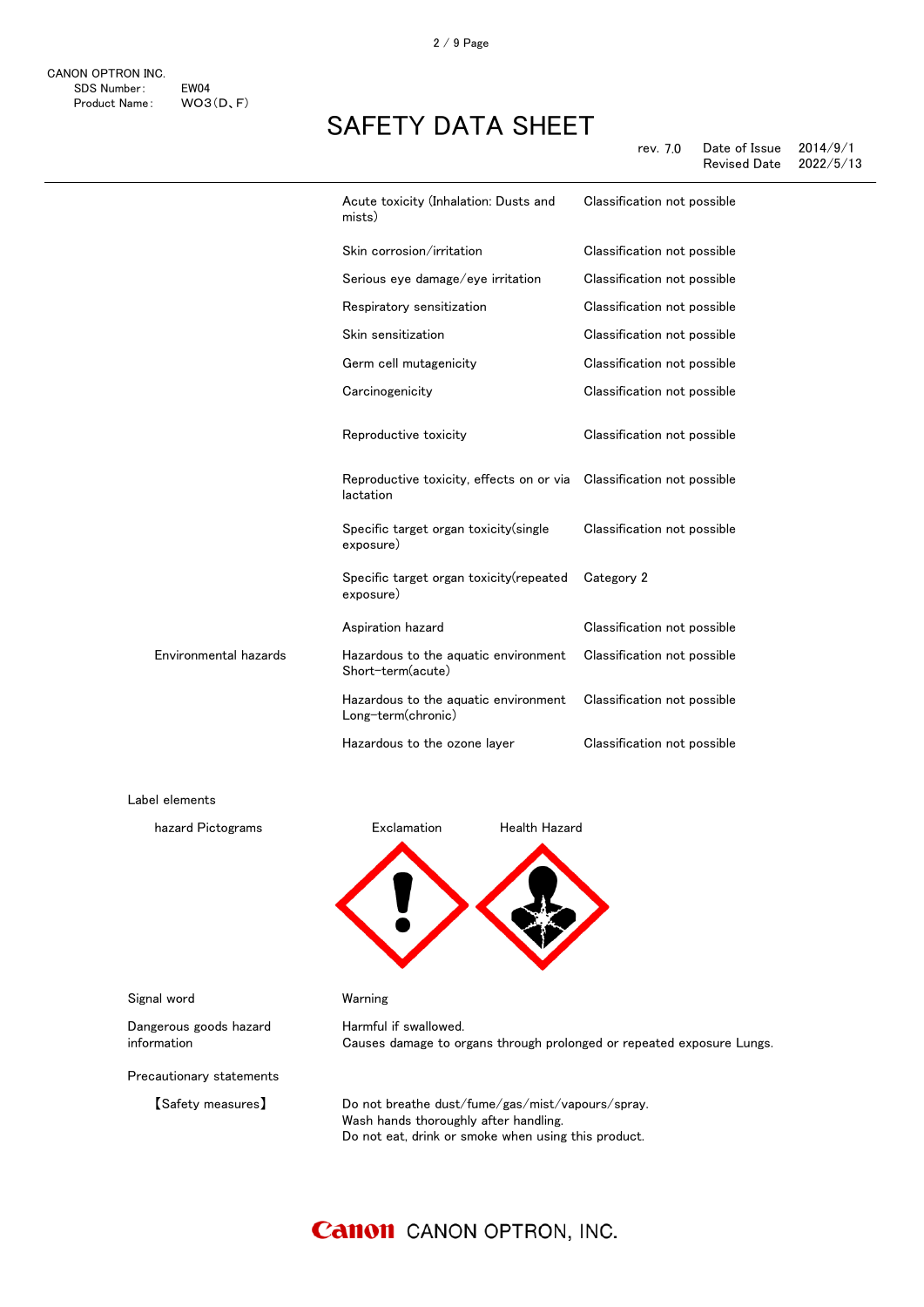2 / 9 Page

## SAFETY DATA SHEET

|                       | Acute toxicity (Inhalation: Dusts and<br>mists)            | Classification not possible |
|-----------------------|------------------------------------------------------------|-----------------------------|
|                       | Skin corrosion/irritation                                  | Classification not possible |
|                       | Serious eye damage/eye irritation                          | Classification not possible |
|                       | Respiratory sensitization                                  | Classification not possible |
|                       | Skin sensitization                                         | Classification not possible |
|                       | Germ cell mutagenicity                                     | Classification not possible |
|                       | Carcinogenicity                                            | Classification not possible |
|                       | Reproductive toxicity                                      | Classification not possible |
|                       | Reproductive toxicity, effects on or via<br>lactation      | Classification not possible |
|                       | Specific target organ toxicity (single<br>exposure)        | Classification not possible |
|                       | Specific target organ toxicity (repeated<br>exposure)      | Category 2                  |
|                       | Aspiration hazard                                          | Classification not possible |
| Environmental hazards | Hazardous to the aquatic environment<br>Short-term(acute)  | Classification not possible |
|                       | Hazardous to the aquatic environment<br>Long-term(chronic) | Classification not possible |
|                       | Hazardous to the ozone layer                               | Classification not possible |
| Label elements        |                                                            |                             |
| hazard Pictograms     | Exclamation<br><b>Health Hazard</b>                        |                             |
|                       |                                                            |                             |
|                       |                                                            |                             |

Signal word Warning

Dangerous goods hazard information

Precautionary statements

Harmful if swallowed. Causes damage to organs through prolonged or repeated exposure Lungs.

【Safety measures】 Do not breathe dust/fume/gas/mist/vapours/spray. Wash hands thoroughly after handling. Do not eat, drink or smoke when using this product.

### **Canon** CANON OPTRON, INC.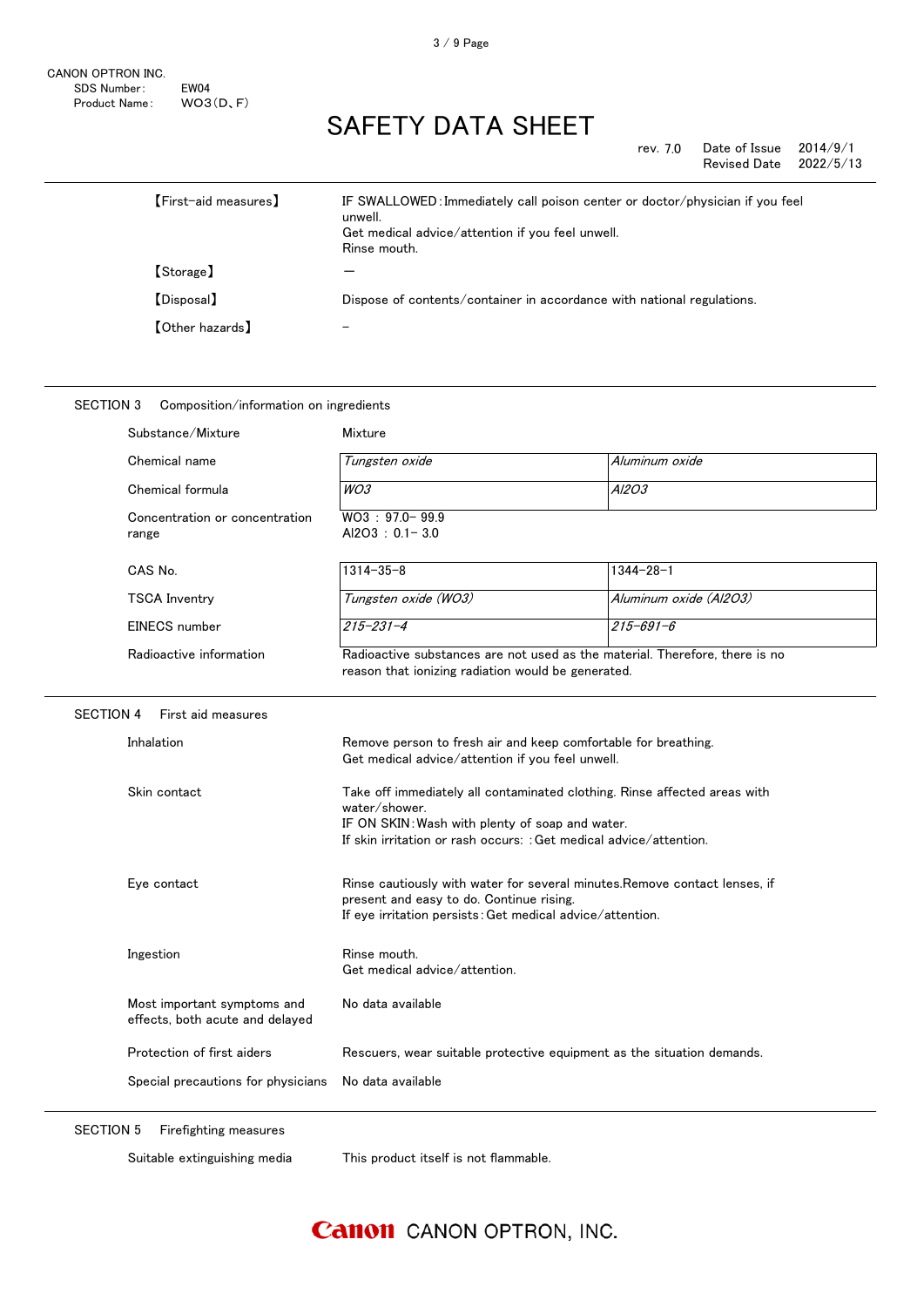| rev. 7.0 | Date of Issue       | 2014/9/1  |
|----------|---------------------|-----------|
|          | <b>Revised Date</b> | 2022/5/13 |

| [First-aid measures]   | IF SWALLOWED: Immediately call poison center or doctor/physician if you feel<br>unwell.<br>Get medical advice/attention if you feel unwell.<br>Rinse mouth. |
|------------------------|-------------------------------------------------------------------------------------------------------------------------------------------------------------|
| [Storage]              |                                                                                                                                                             |
| 【Disposal】             | Dispose of contents/container in accordance with national regulations.                                                                                      |
| <b>【Other hazards】</b> |                                                                                                                                                             |

#### SECTION 3 Composition/information on ingredients

| Substance/Mixture                                              | Mixture                                                                                                                                                                                                             |                        |
|----------------------------------------------------------------|---------------------------------------------------------------------------------------------------------------------------------------------------------------------------------------------------------------------|------------------------|
| Chemical name                                                  | Tungsten oxide                                                                                                                                                                                                      | Aluminum oxide         |
| Chemical formula                                               | WO3                                                                                                                                                                                                                 | A/203                  |
| Concentration or concentration<br>range                        | WO3: 97.0-99.9<br>$AI2O3 : 0.1 - 3.0$                                                                                                                                                                               |                        |
| CAS No.                                                        | $1314 - 35 - 8$                                                                                                                                                                                                     | $1344 - 28 - 1$        |
| <b>TSCA Inventry</b>                                           | Tungsten oxide (WO3)                                                                                                                                                                                                | Aluminum oxide (Al2O3) |
| EINECS number                                                  | $215 - 231 - 4$                                                                                                                                                                                                     | $215 - 691 - 6$        |
| Radioactive information                                        | Radioactive substances are not used as the material. Therefore, there is no<br>reason that ionizing radiation would be generated.                                                                                   |                        |
| <b>SECTION 4</b><br>First aid measures                         |                                                                                                                                                                                                                     |                        |
| Inhalation                                                     | Remove person to fresh air and keep comfortable for breathing.<br>Get medical advice/attention if you feel unwell.                                                                                                  |                        |
| Skin contact                                                   | Take off immediately all contaminated clothing. Rinse affected areas with<br>water/shower.<br>IF ON SKIN: Wash with plenty of soap and water.<br>If skin irritation or rash occurs: : Get medical advice/attention. |                        |
| Eye contact                                                    | Rinse cautiously with water for several minutes. Remove contact lenses, if<br>present and easy to do. Continue rising.<br>If eye irritation persists: Get medical advice/attention.                                 |                        |
| Ingestion                                                      | Rinse mouth.<br>Get medical advice/attention.                                                                                                                                                                       |                        |
| Most important symptoms and<br>effects, both acute and delayed | No data available                                                                                                                                                                                                   |                        |
| Protection of first aiders                                     | Rescuers, wear suitable protective equipment as the situation demands.                                                                                                                                              |                        |
| Special precautions for physicians                             | No data available                                                                                                                                                                                                   |                        |

SECTION 5 Firefighting measures

Suitable extinguishing media This product itself is not flammable.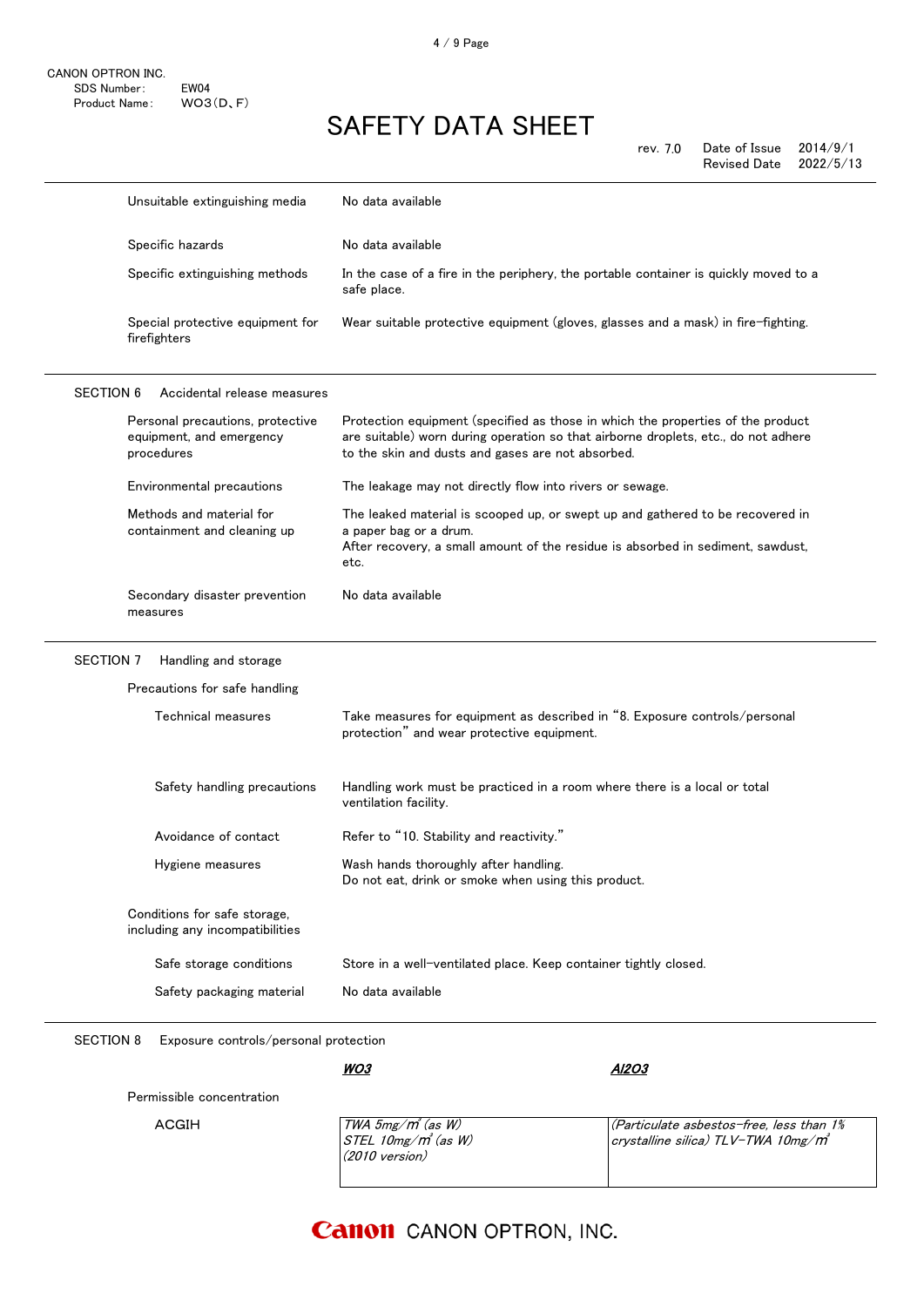|                  | Unsuitable extinguishing media                                             | No data available                                                                                                                                                                                                          |
|------------------|----------------------------------------------------------------------------|----------------------------------------------------------------------------------------------------------------------------------------------------------------------------------------------------------------------------|
|                  | Specific hazards                                                           | No data available                                                                                                                                                                                                          |
|                  | Specific extinguishing methods                                             | In the case of a fire in the periphery, the portable container is quickly moved to a<br>safe place.                                                                                                                        |
|                  | Special protective equipment for<br>firefighters                           | Wear suitable protective equipment (gloves, glasses and a mask) in fire-fighting.                                                                                                                                          |
| <b>SECTION 6</b> | Accidental release measures                                                |                                                                                                                                                                                                                            |
|                  | Personal precautions, protective<br>equipment, and emergency<br>procedures | Protection equipment (specified as those in which the properties of the product<br>are suitable) worn during operation so that airborne droplets, etc., do not adhere<br>to the skin and dusts and gases are not absorbed. |
|                  | Environmental precautions                                                  | The leakage may not directly flow into rivers or sewage.                                                                                                                                                                   |
|                  | Methods and material for<br>containment and cleaning up                    | The leaked material is scooped up, or swept up and gathered to be recovered in<br>a paper bag or a drum.<br>After recovery, a small amount of the residue is absorbed in sediment, sawdust,<br>etc.                        |
|                  | Secondary disaster prevention<br>measures                                  | No data available                                                                                                                                                                                                          |
| <b>SECTION 7</b> | Handling and storage                                                       |                                                                                                                                                                                                                            |
|                  | Precautions for safe handling                                              |                                                                                                                                                                                                                            |
|                  | Technical measures                                                         | Take measures for equipment as described in "8. Exposure controls/personal<br>protection" and wear protective equipment.                                                                                                   |
|                  | Safety handling precautions                                                | Handling work must be practiced in a room where there is a local or total<br>ventilation facility.                                                                                                                         |
|                  | Avoidance of contact                                                       | Refer to "10. Stability and reactivity."                                                                                                                                                                                   |
|                  | Hygiene measures                                                           | Wash hands thoroughly after handling.<br>Do not eat, drink or smoke when using this product.                                                                                                                               |
|                  | Conditions for safe storage,<br>including any incompatibilities            |                                                                                                                                                                                                                            |
|                  | Safe storage conditions                                                    | Store in a well-ventilated place. Keep container tightly closed.                                                                                                                                                           |
|                  | Safety packaging material                                                  | No data available                                                                                                                                                                                                          |

SECTION 8 Exposure controls/personal protection

WO3

Permissible concentration

**ACGIH** 

| $\mid$ TWA 5mg/ $m^{s}$ (as W)    | $ $ (Particulate asbestos-free, less than 1%   |
|-----------------------------------|------------------------------------------------|
| $STEL 10$ mg/m $^{\prime}$ (as W) | crvstalline silica) TLV-TWA 10mg/m $^{\prime}$ |
| $(2010 \text{ version})$          |                                                |
|                                   |                                                |

Al2O3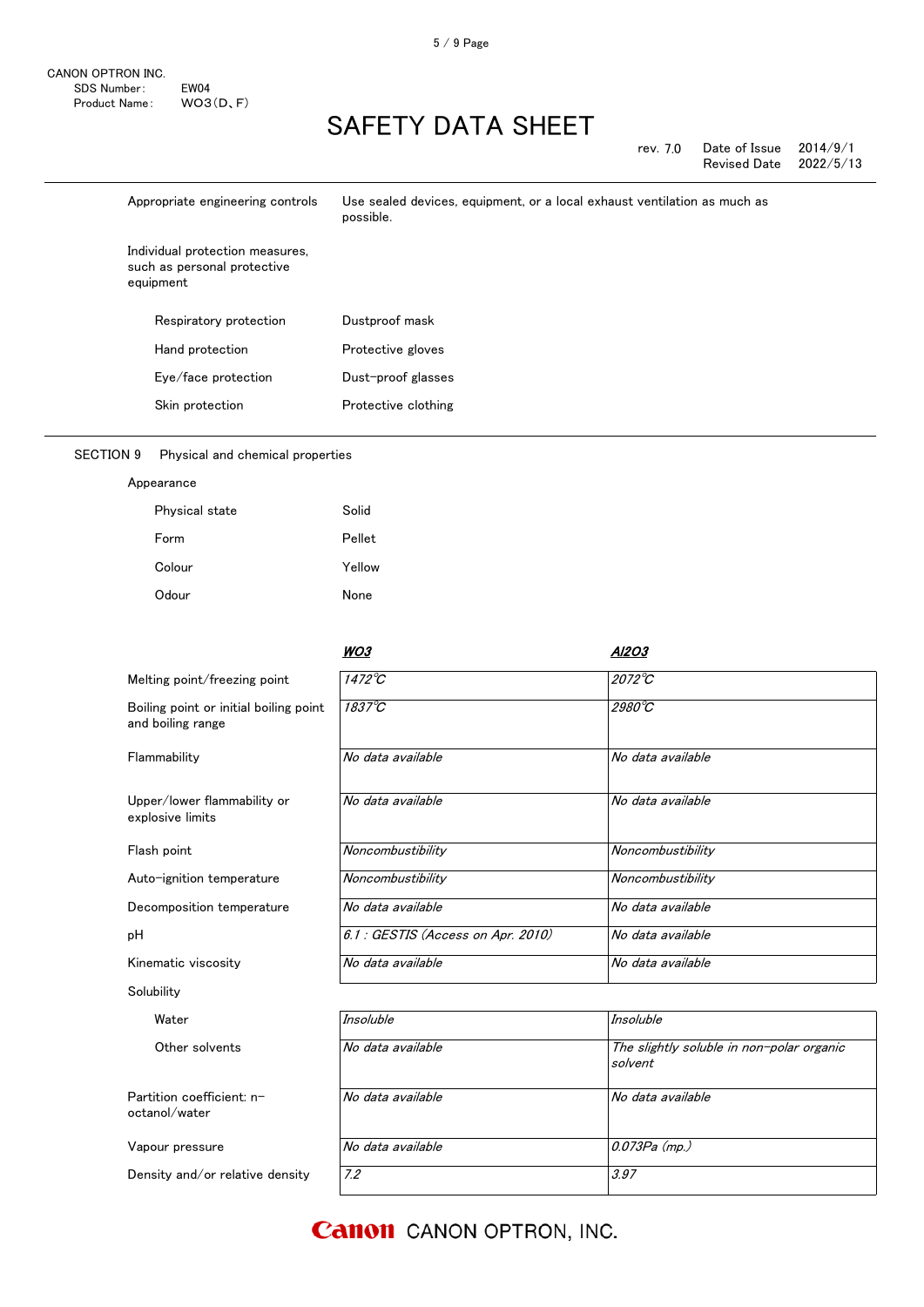| Date of Issue<br>rev. 7.0 |                     | 2014/9/1  |
|---------------------------|---------------------|-----------|
|                           | <b>Revised Date</b> | 2022/5/13 |

| Appropriate engineering controls                                            | Use sealed devices, equipment, or a local exhaust ventilation as much as<br>possible. |
|-----------------------------------------------------------------------------|---------------------------------------------------------------------------------------|
| Individual protection measures,<br>such as personal protective<br>equipment |                                                                                       |
| Respiratory protection                                                      | Dustproof mask                                                                        |
| Hand protection                                                             | Protective gloves                                                                     |
| Eye/face protection                                                         | Dust-proof glasses                                                                    |
| Skin protection                                                             | Protective clothing                                                                   |

### SECTION 9 Physical and chemical properties

| Appearance |
|------------|
|------------|

| Physical state | Solid  |
|----------------|--------|
| Form           | Pellet |
| Colour         | Yellow |
| Odour          | None   |

|                                                             | WO3                                | A1203                                                |
|-------------------------------------------------------------|------------------------------------|------------------------------------------------------|
| Melting point/freezing point                                | $1472^{\circ}C$                    | $2072^{\circ}C$                                      |
| Boiling point or initial boiling point<br>and boiling range | $1837^{\circ}C$                    | 2980°C                                               |
| Flammability                                                | No data available                  | No data available                                    |
| Upper/lower flammability or<br>explosive limits             | No data available                  | No data available                                    |
| Flash point                                                 | Noncombustibility                  | Noncombustibility                                    |
| Auto-ignition temperature                                   | Noncombustibility                  | Noncombustibility                                    |
| Decomposition temperature                                   | No data available                  | No data available                                    |
| pН                                                          | 6.1 : GESTIS (Access on Apr. 2010) | No data available                                    |
| Kinematic viscosity                                         | No data available                  | No data available                                    |
| Solubility                                                  |                                    |                                                      |
| Water                                                       | <b>Insoluble</b>                   | <b>Insoluble</b>                                     |
| Other solvents                                              | No data available                  | The slightly soluble in non-polar organic<br>solvent |
| Partition coefficient: n-<br>octanol/water                  | No data available                  | No data available                                    |
| Vapour pressure                                             | No data available                  | 0.073Pa (mp.)                                        |
| Density and/or relative density                             | 7.2                                | 3.97                                                 |

### **Canon** CANON OPTRON, INC.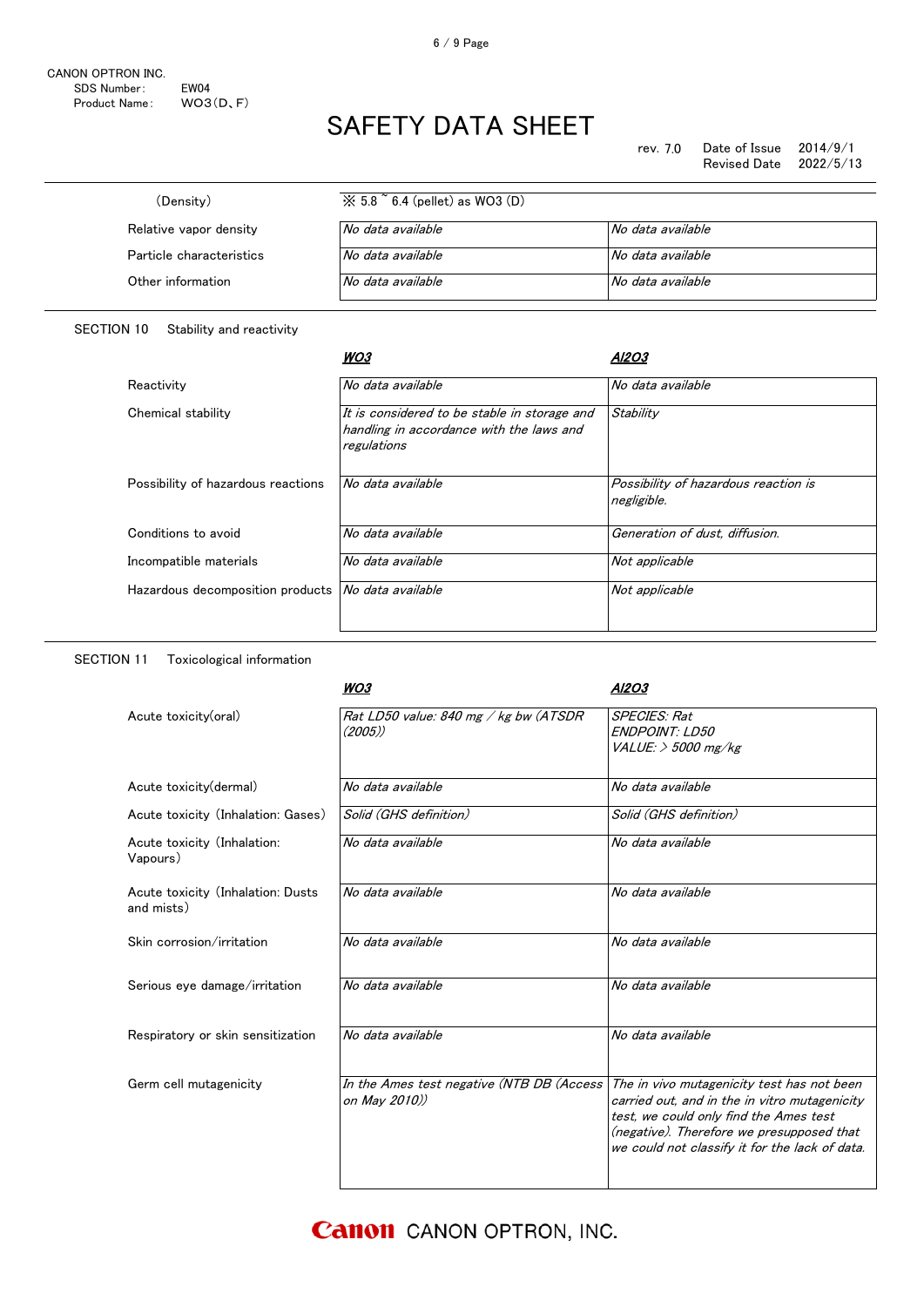| (Density)                | $\%$ 5.8 $\degree$ 6.4 (pellet) as WO3 (D) |                   |
|--------------------------|--------------------------------------------|-------------------|
| Relative vapor density   | No data available                          | No data available |
| Particle characteristics | No data available                          | No data available |
| Other information        | No data available                          | No data available |

### SECTION 10 Stability and reactivity

|                                                      | WO3                                                                                                     | A12O3                                               |
|------------------------------------------------------|---------------------------------------------------------------------------------------------------------|-----------------------------------------------------|
| Reactivity                                           | No data available                                                                                       | No data available                                   |
| Chemical stability                                   | It is considered to be stable in storage and<br>handling in accordance with the laws and<br>regulations | Stability                                           |
| Possibility of hazardous reactions                   | No data available                                                                                       | Possibility of hazardous reaction is<br>negligible. |
| Conditions to avoid                                  | No data available                                                                                       | Generation of dust, diffusion.                      |
| Incompatible materials                               | No data available                                                                                       | Not applicable                                      |
| Hazardous decomposition products   No data available |                                                                                                         | Not applicable                                      |

### SECTION 11 Toxicological information

|                                                 | WO3                                                        | Al2O3                                                                                                                                                                                                                                |
|-------------------------------------------------|------------------------------------------------------------|--------------------------------------------------------------------------------------------------------------------------------------------------------------------------------------------------------------------------------------|
| Acute toxicity(oral)                            | Rat LD50 value: 840 mg / kg bw (ATSDR<br>(2005)            | <b>SPECIES: Rat</b><br><b>ENDPOINT: LD50</b><br>VALUE: > 5000 mg/kg                                                                                                                                                                  |
| Acute toxicity (dermal)                         | No data available                                          | No data available                                                                                                                                                                                                                    |
| Acute toxicity (Inhalation: Gases)              | Solid (GHS definition)                                     | Solid (GHS definition)                                                                                                                                                                                                               |
| Acute toxicity (Inhalation:<br>Vapours)         | No data available                                          | No data available                                                                                                                                                                                                                    |
| Acute toxicity (Inhalation: Dusts<br>and mists) | No data available                                          | No data available                                                                                                                                                                                                                    |
| Skin corrosion/irritation                       | No data available                                          | No data available                                                                                                                                                                                                                    |
| Serious eye damage/irritation                   | No data available                                          | No data available                                                                                                                                                                                                                    |
| Respiratory or skin sensitization               | No data available                                          | No data available                                                                                                                                                                                                                    |
| Germ cell mutagenicity                          | In the Ames test negative (NTB DB (Access<br>on May 2010)) | The in vivo mutagenicity test has not been<br>carried out, and in the in vitro mutagenicity<br>test, we could only find the Ames test<br>(negative). Therefore we presupposed that<br>we could not classify it for the lack of data. |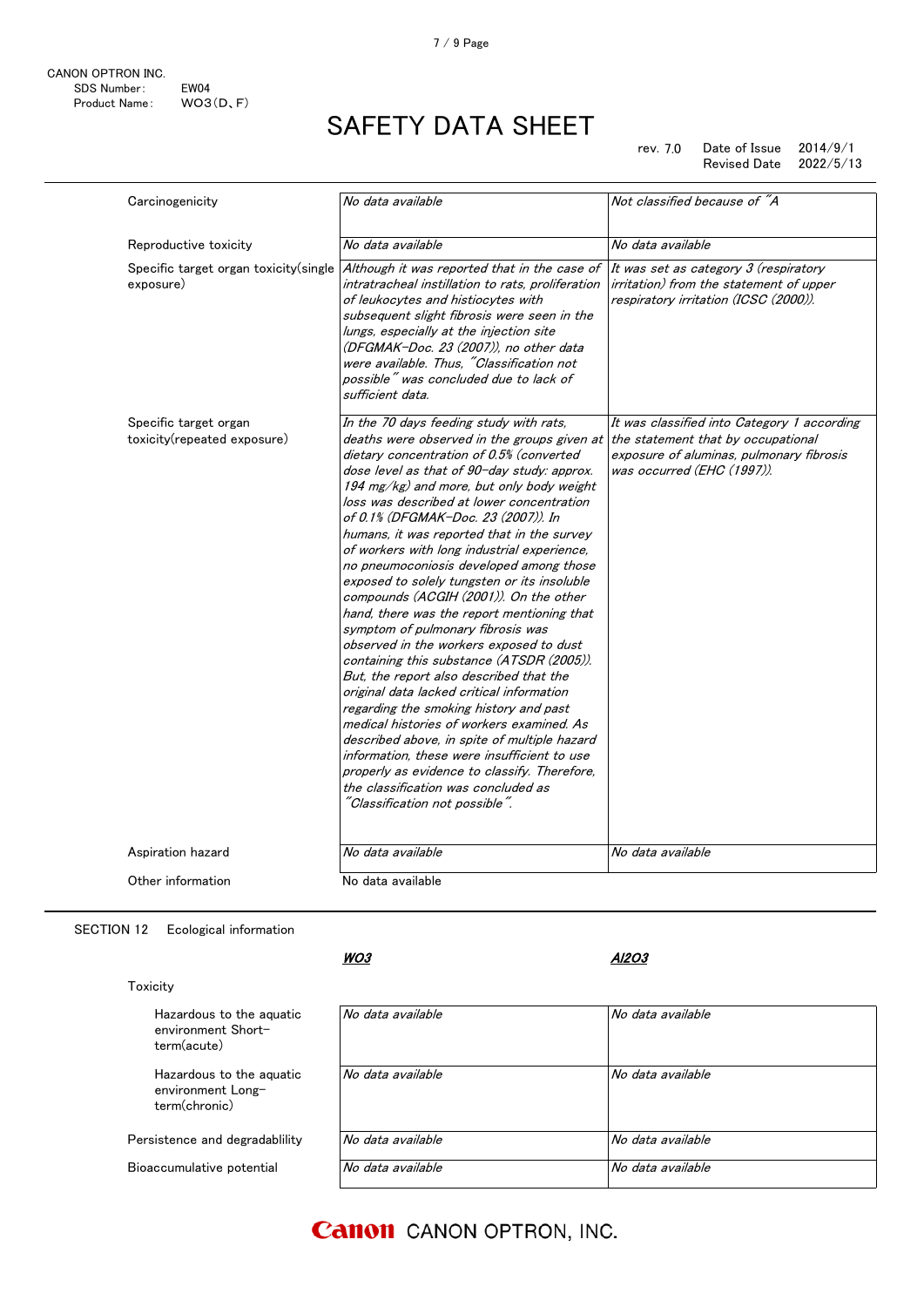rev. 7.0 Date of Issue 2014/9/1<br>Revised Date 2022/5/13 Revised Date

| Carcinogenicity                                      | No data available                                                                                                                                                                                                                                                                                                                                                                                                                                                                                                                                                                                                                                                                                                                                                                                                                                                                                                                                                                                                                                                                                                                     | Not classified because of "A                                                                                                                                |
|------------------------------------------------------|---------------------------------------------------------------------------------------------------------------------------------------------------------------------------------------------------------------------------------------------------------------------------------------------------------------------------------------------------------------------------------------------------------------------------------------------------------------------------------------------------------------------------------------------------------------------------------------------------------------------------------------------------------------------------------------------------------------------------------------------------------------------------------------------------------------------------------------------------------------------------------------------------------------------------------------------------------------------------------------------------------------------------------------------------------------------------------------------------------------------------------------|-------------------------------------------------------------------------------------------------------------------------------------------------------------|
|                                                      |                                                                                                                                                                                                                                                                                                                                                                                                                                                                                                                                                                                                                                                                                                                                                                                                                                                                                                                                                                                                                                                                                                                                       |                                                                                                                                                             |
| Reproductive toxicity                                | No data available                                                                                                                                                                                                                                                                                                                                                                                                                                                                                                                                                                                                                                                                                                                                                                                                                                                                                                                                                                                                                                                                                                                     | No data available                                                                                                                                           |
| Specific target organ toxicity(single<br>exposure)   | Although it was reported that in the case of<br>intratracheal instillation to rats, proliferation<br>of leukocytes and histiocytes with<br>subsequent slight fibrosis were seen in the<br>lungs, especially at the injection site<br>(DFGMAK-Doc. 23 (2007)), no other data<br>were available. Thus, "Classification not<br>possible" was concluded due to lack of<br>sufficient data.                                                                                                                                                                                                                                                                                                                                                                                                                                                                                                                                                                                                                                                                                                                                                | It was set as category 3 (respiratory<br><i>irritation)</i> from the statement of upper<br>respiratory irritation (ICSC (2000)).                            |
| Specific target organ<br>toxicity(repeated exposure) | In the 70 days feeding study with rats,<br>deaths were observed in the groups given at<br>dietary concentration of 0.5% (converted<br>dose level as that of 90-day study: approx.<br>194 mg/kg) and more, but only body weight<br>loss was described at lower concentration<br>of 0.1% (DFGMAK-Doc. 23 (2007)). In<br>humans, it was reported that in the survey<br>of workers with long industrial experience,<br>no pneumoconiosis developed among those<br>exposed to solely tungsten or its insoluble<br>compounds (ACGIH (2001)). On the other<br>hand, there was the report mentioning that<br>symptom of pulmonary fibrosis was<br>observed in the workers exposed to dust<br>containing this substance (ATSDR (2005)).<br>But, the report also described that the<br>original data lacked critical information<br>regarding the smoking history and past<br>medical histories of workers examined. As<br>described above, in spite of multiple hazard<br>information, these were insufficient to use<br>properly as evidence to classify. Therefore,<br>the classification was concluded as<br>"Classification not possible". | It was classified into Category 1 according<br>the statement that by occupational<br>exposure of aluminas, pulmonary fibrosis<br>was occurred (EHC (1997)). |
| Aspiration hazard                                    | No data available                                                                                                                                                                                                                                                                                                                                                                                                                                                                                                                                                                                                                                                                                                                                                                                                                                                                                                                                                                                                                                                                                                                     | No data available                                                                                                                                           |
| Other information                                    | No data available                                                                                                                                                                                                                                                                                                                                                                                                                                                                                                                                                                                                                                                                                                                                                                                                                                                                                                                                                                                                                                                                                                                     |                                                                                                                                                             |

SECTION 12 Ecological information

Hazardous to the aquatic environment Shortterm(acute)

Hazardous to the aquatic environment Longterm(chronic)

Persistence and degradablility Bioaccumulative potential

Toxicity

WO3

Al2O3

| No data available | No data available |
|-------------------|-------------------|
| No data available | No data available |
| No data available | No data available |
| No data available | No data available |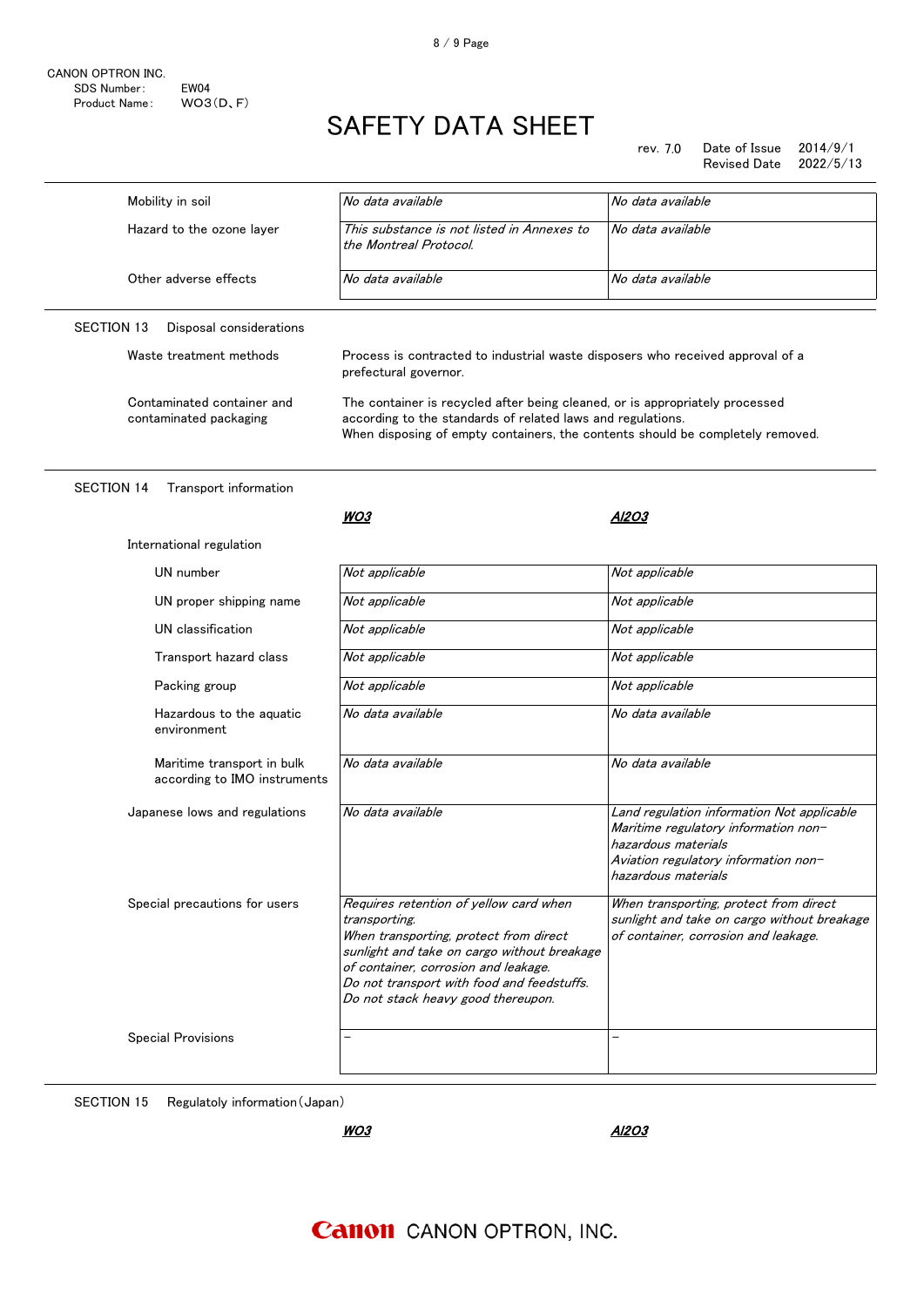rev. 7.0 rev. Date of Issue 2014/9/1 Revised Date 2022/5/13

| Mobility in soil                                           | No data available                                                                                                                                                                                                                                                            | No data available                                                                                                                                                        |
|------------------------------------------------------------|------------------------------------------------------------------------------------------------------------------------------------------------------------------------------------------------------------------------------------------------------------------------------|--------------------------------------------------------------------------------------------------------------------------------------------------------------------------|
| Hazard to the ozone layer                                  | This substance is not listed in Annexes to<br>the Montreal Protocol.                                                                                                                                                                                                         | No data available                                                                                                                                                        |
| Other adverse effects                                      | No data available                                                                                                                                                                                                                                                            | No data available                                                                                                                                                        |
|                                                            |                                                                                                                                                                                                                                                                              |                                                                                                                                                                          |
| <b>SECTION 13</b><br>Disposal considerations               |                                                                                                                                                                                                                                                                              |                                                                                                                                                                          |
| Waste treatment methods                                    | Process is contracted to industrial waste disposers who received approval of a<br>prefectural governor.                                                                                                                                                                      |                                                                                                                                                                          |
| Contaminated container and<br>contaminated packaging       | The container is recycled after being cleaned, or is appropriately processed<br>according to the standards of related laws and regulations.<br>When disposing of empty containers, the contents should be completely removed.                                                |                                                                                                                                                                          |
| <b>SECTION 14</b><br>Transport information                 |                                                                                                                                                                                                                                                                              |                                                                                                                                                                          |
|                                                            | WO3                                                                                                                                                                                                                                                                          | Al2O3                                                                                                                                                                    |
| International regulation                                   |                                                                                                                                                                                                                                                                              |                                                                                                                                                                          |
| UN number                                                  | Not applicable                                                                                                                                                                                                                                                               | Not applicable                                                                                                                                                           |
| UN proper shipping name                                    | Not applicable                                                                                                                                                                                                                                                               | Not applicable                                                                                                                                                           |
| UN classification                                          | Not applicable                                                                                                                                                                                                                                                               | Not applicable                                                                                                                                                           |
| Transport hazard class                                     | Not applicable                                                                                                                                                                                                                                                               | Not applicable                                                                                                                                                           |
| Packing group                                              | Not applicable                                                                                                                                                                                                                                                               | Not applicable                                                                                                                                                           |
| Hazardous to the aguatic<br>environment                    | No data available                                                                                                                                                                                                                                                            | No data available                                                                                                                                                        |
| Maritime transport in bulk<br>according to IMO instruments | No data available                                                                                                                                                                                                                                                            | No data available                                                                                                                                                        |
| Japanese lows and regulations                              | No data available                                                                                                                                                                                                                                                            | Land regulation information Not applicable<br>Maritime regulatory information non-<br>hazardous materials<br>Aviation regulatory information non-<br>hazardous materials |
| Special precautions for users                              | Requires retention of yellow card when<br>transporting.<br>When transporting, protect from direct<br>sunlight and take on cargo without breakage<br>of container, corrosion and leakage.<br>Do not transport with food and feedstuffs.<br>Do not stack heavy good thereupon. | When transporting, protect from direct<br>sunlight and take on cargo without breakage<br>of container, corrosion and leakage.                                            |
| <b>Special Provisions</b>                                  |                                                                                                                                                                                                                                                                              |                                                                                                                                                                          |

SECTION 15 Regulatoly information(Japan)

**WO3** 

Al2O3